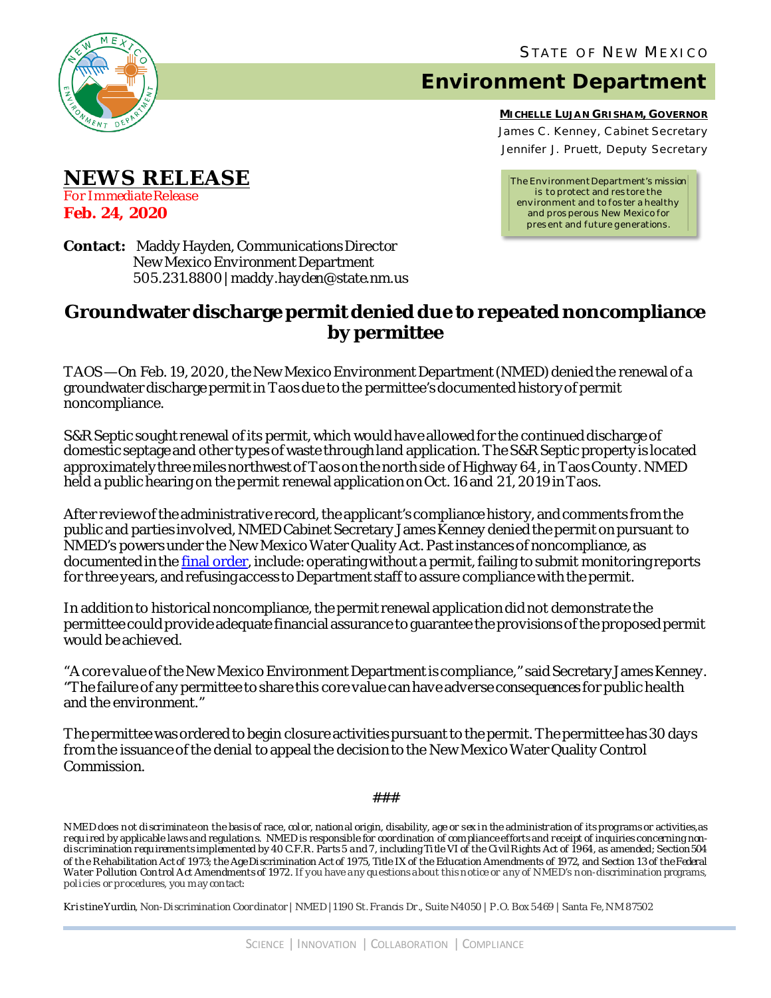

## **Environment Department**

**MICHELLE LUJAN GRISHAM, GOVERNOR** James C . Kenney, Cabinet Secretary Jennifer J. Pruett, Deputy Secretary

*The Environment Department's mission is to protect and res tore the environment and to fos ter a healthy and pros perous New Mexico for pres ent and future generations.*

**Contact:** Maddy Hayden, Communications Director New Mexico Environment Department 505.231.8800 | maddy.hayden@state.nm.us

## **Groundwater discharge permit denied due to repeated noncompliance by permittee**

TAOS — On Feb. 19, 2020, the New Mexico Environment Department (NMED) denied the renewal of a groundwater discharge permitin Taos due to the permittee's documented history of permit noncompliance.

S&R Septic sought renewal of its permit, which would have allowed for the continued discharge of domestic septage and other types of waste through land application. The S&R Septic property is located approximately three miles northwest of Taos on the north side of Highway 64, in Taos County. NMED held a public hearing on the permit renewal application on Oct. 16 and 21, 2019 in Taos.

After reviewof the administrative record, the applicant's compliance history, andcomments fromthe public and parties involved, NMED Cabinet Secretary James Kenney denied the permit on pursuant to NMED's powers under the New Mexico Water Quality Act. Past instances of noncompliance, as documented in the [final order,](https://www.env.nm.gov/gwqb/wp-content/uploads/sites/11/2020/02/GWB-19-28-Final-Order-ReadSpeaker.pdf) include: operating without a permit, failing to submit monitoring reports for three years, and refusing access to Department staff to assure compliance with the permit.

In addition to historical noncompliance, the permit renewal application did not demonstrate the permittee could provide adequate financial assurance to guarantee the provisions of the proposed permit would be achieved.

"A core value of the New Mexico Environment Department is compliance," said Secretary James Kenney. "The failure of any permittee to share this core value can have adverse consequences for public health and the environment."

The permittee was ordered to begin closure activities pursuant to the permit. The permittee has 30 days from the issuance of the denial to appeal the decision to the New Mexico Water Quality Control Commission.

###

N MED does not discriminate on the basis of race, color, national origin, disability, age or sex in the administration of its programs or activities, as requ ired by applicable laws and regulations. NMED is responsible for coordination of compliance efforts and receipt of inquiries concerning nondiscrimination requ irements implemented by 40 C.F.R. Parts 5 and 7, including Title VI of the Civil Rights Act of 1964, as amended; Section 504 of the Rehabilitation Act of 1973; the Age Discrimination Act of 1975, Title IX of the Education Amendments of 1972, and Section 13 of the Federal Water Pollution Control A ct Amendments of 1972. If you have any qu estions about this notice or any of N MED's non-discrimination programs, policies or procedures, you may contact:

Kristine Yurdin, Non-Discrimination Coordinator | NMED |1190 St. Francis Dr., Suite N4050 | P.O. Box 5469 | Santa Fe, N M 87502

**Feb. 24, 2020**